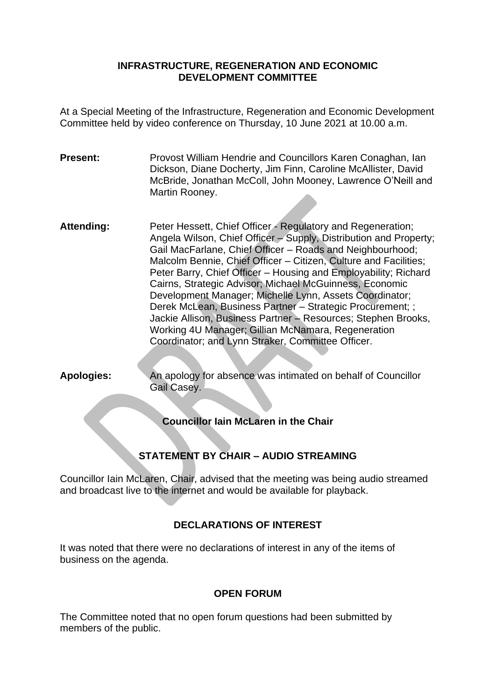#### **INFRASTRUCTURE, REGENERATION AND ECONOMIC DEVELOPMENT COMMITTEE**

At a Special Meeting of the Infrastructure, Regeneration and Economic Development Committee held by video conference on Thursday, 10 June 2021 at 10.00 a.m.

**Present:** Provost William Hendrie and Councillors Karen Conaghan, Ian Dickson, Diane Docherty, Jim Finn, Caroline McAllister, David McBride, Jonathan McColl, John Mooney, Lawrence O'Neill and Martin Rooney.

Attending: Peter Hessett, Chief Officer - Regulatory and Regeneration; Angela Wilson, Chief Officer – Supply, Distribution and Property; Gail MacFarlane, Chief Officer – Roads and Neighbourhood; Malcolm Bennie, Chief Officer – Citizen, Culture and Facilities; Peter Barry, Chief Officer – Housing and Employability; Richard Cairns, Strategic Advisor; Michael McGuinness, Economic Development Manager; Michelle Lynn, Assets Coordinator; Derek McLean, Business Partner – Strategic Procurement; ; Jackie Allison, Business Partner – Resources; Stephen Brooks, Working 4U Manager; Gillian McNamara, Regeneration Coordinator; and Lynn Straker, Committee Officer.

**Apologies:** An apology for absence was intimated on behalf of Councillor Gail Casey.

**Councillor Iain McLaren in the Chair**

# **STATEMENT BY CHAIR – AUDIO STREAMING**

Councillor Iain McLaren, Chair, advised that the meeting was being audio streamed and broadcast live to the internet and would be available for playback.

# **DECLARATIONS OF INTEREST**

It was noted that there were no declarations of interest in any of the items of business on the agenda.

#### **OPEN FORUM**

The Committee noted that no open forum questions had been submitted by members of the public.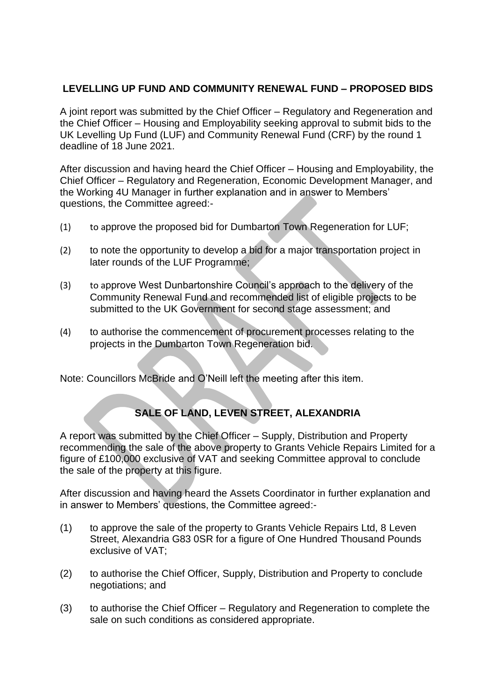## **LEVELLING UP FUND AND COMMUNITY RENEWAL FUND – PROPOSED BIDS**

A joint report was submitted by the Chief Officer – Regulatory and Regeneration and the Chief Officer – Housing and Employability seeking approval to submit bids to the UK Levelling Up Fund (LUF) and Community Renewal Fund (CRF) by the round 1 deadline of 18 June 2021.

After discussion and having heard the Chief Officer – Housing and Employability, the Chief Officer – Regulatory and Regeneration, Economic Development Manager, and the Working 4U Manager in further explanation and in answer to Members' questions, the Committee agreed:-

- (1) to approve the proposed bid for Dumbarton Town Regeneration for LUF;
- (2) to note the opportunity to develop a bid for a major transportation project in later rounds of the LUF Programme;
- (3) to approve West Dunbartonshire Council's approach to the delivery of the Community Renewal Fund and recommended list of eligible projects to be submitted to the UK Government for second stage assessment; and
- (4) to authorise the commencement of procurement processes relating to the projects in the Dumbarton Town Regeneration bid.

Note: Councillors McBride and O'Neill left the meeting after this item.

# **SALE OF LAND, LEVEN STREET, ALEXANDRIA**

A report was submitted by the Chief Officer – Supply, Distribution and Property recommending the sale of the above property to Grants Vehicle Repairs Limited for a figure of £100,000 exclusive of VAT and seeking Committee approval to conclude the sale of the property at this figure.

After discussion and having heard the Assets Coordinator in further explanation and in answer to Members' questions, the Committee agreed:-

- (1) to approve the sale of the property to Grants Vehicle Repairs Ltd, 8 Leven Street, Alexandria G83 0SR for a figure of One Hundred Thousand Pounds exclusive of VAT;
- (2) to authorise the Chief Officer, Supply, Distribution and Property to conclude negotiations; and
- (3) to authorise the Chief Officer Regulatory and Regeneration to complete the sale on such conditions as considered appropriate.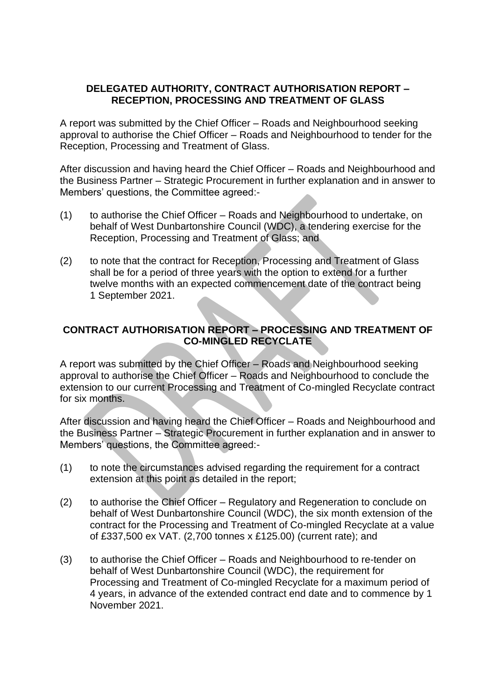### **DELEGATED AUTHORITY, CONTRACT AUTHORISATION REPORT – RECEPTION, PROCESSING AND TREATMENT OF GLASS**

A report was submitted by the Chief Officer – Roads and Neighbourhood seeking approval to authorise the Chief Officer – Roads and Neighbourhood to tender for the Reception, Processing and Treatment of Glass.

After discussion and having heard the Chief Officer – Roads and Neighbourhood and the Business Partner – Strategic Procurement in further explanation and in answer to Members' questions, the Committee agreed:-

- (1) to authorise the Chief Officer Roads and Neighbourhood to undertake, on behalf of West Dunbartonshire Council (WDC), a tendering exercise for the Reception, Processing and Treatment of Glass; and
- (2) to note that the contract for Reception, Processing and Treatment of Glass shall be for a period of three years with the option to extend for a further twelve months with an expected commencement date of the contract being 1 September 2021.

## **CONTRACT AUTHORISATION REPORT – PROCESSING AND TREATMENT OF CO-MINGLED RECYCLATE**

A report was submitted by the Chief Officer – Roads and Neighbourhood seeking approval to authorise the Chief Officer – Roads and Neighbourhood to conclude the extension to our current Processing and Treatment of Co-mingled Recyclate contract for six months.

After discussion and having heard the Chief Officer – Roads and Neighbourhood and the Business Partner – Strategic Procurement in further explanation and in answer to Members' questions, the Committee agreed:-

- (1) to note the circumstances advised regarding the requirement for a contract extension at this point as detailed in the report;
- (2) to authorise the Chief Officer Regulatory and Regeneration to conclude on behalf of West Dunbartonshire Council (WDC), the six month extension of the contract for the Processing and Treatment of Co-mingled Recyclate at a value of £337,500 ex VAT. (2,700 tonnes x £125.00) (current rate); and
- (3) to authorise the Chief Officer Roads and Neighbourhood to re-tender on behalf of West Dunbartonshire Council (WDC), the requirement for Processing and Treatment of Co-mingled Recyclate for a maximum period of 4 years, in advance of the extended contract end date and to commence by 1 November 2021.